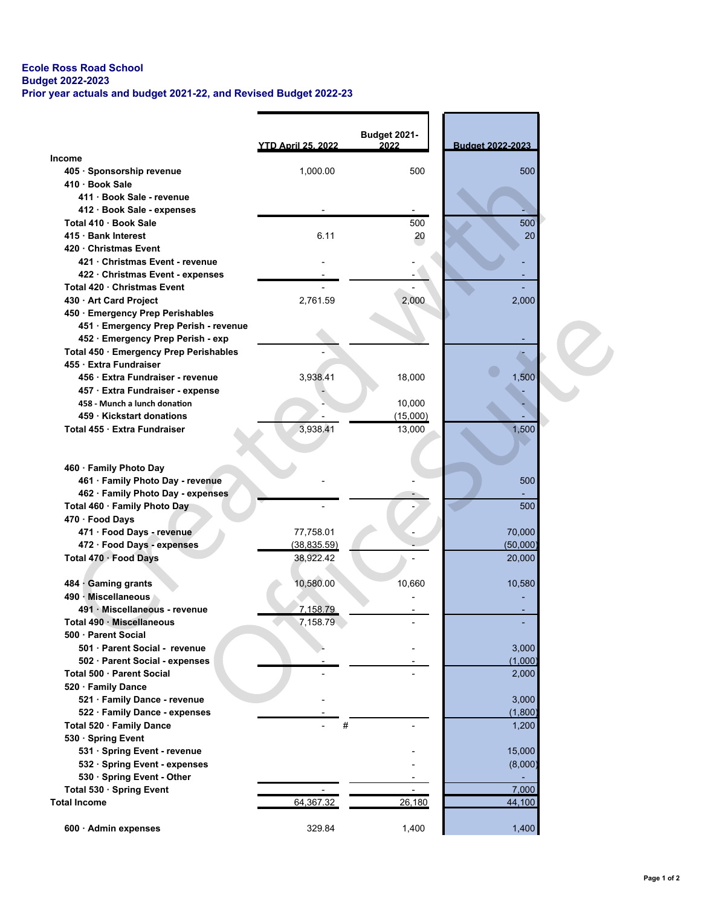## Ecole Ross Road School Budget 2022-2023 Prior year actuals and budget 2021-22, and Revised Budget 2022-23

|                                        |                           | Budget 2021- |                  |  |
|----------------------------------------|---------------------------|--------------|------------------|--|
|                                        | <b>YTD April 25, 2022</b> | 2022         | Budget 2022-2023 |  |
| Income                                 |                           |              |                  |  |
| 405 · Sponsorship revenue              | 1,000.00                  | 500          | 500              |  |
| 410 Book Sale                          |                           |              |                  |  |
| 411 · Book Sale - revenue              |                           |              |                  |  |
| 412 · Book Sale - expenses             |                           |              |                  |  |
| Total 410 Book Sale                    |                           | 500          | 500              |  |
| 415 Bank Interest                      | 6.11                      | 20           | 20               |  |
| 420 Christmas Event                    |                           |              |                  |  |
| 421 Christmas Event - revenue          |                           |              |                  |  |
| 422 Christmas Event - expenses         |                           |              |                  |  |
| Total 420 Christmas Event              |                           |              |                  |  |
| 430 - Art Card Project                 | 2,761.59                  | 2,000        | 2,000            |  |
| 450 · Emergency Prep Perishables       |                           |              |                  |  |
| 451 · Emergency Prep Perish - revenue  |                           |              |                  |  |
| 452 · Emergency Prep Perish - exp      |                           |              |                  |  |
| Total 450 · Emergency Prep Perishables |                           |              |                  |  |
| 455 Extra Fundraiser                   |                           |              |                  |  |
| 456 · Extra Fundraiser - revenue       | 3,938.41                  | 18,000       | 1,500            |  |
| 457 · Extra Fundraiser - expense       |                           |              |                  |  |
| 458 - Munch a lunch donation           |                           | 10,000       |                  |  |
| 459 Kickstart donations                |                           | (15,000)     |                  |  |
| Total 455 · Extra Fundraiser           | 3,938.41                  | 13,000       | 1,500            |  |
|                                        |                           |              |                  |  |
|                                        |                           |              |                  |  |
| 460 · Family Photo Day                 |                           |              |                  |  |
| 461 · Family Photo Day - revenue       |                           |              | 500              |  |
| 462 · Family Photo Day - expenses      |                           |              |                  |  |
| Total 460 · Family Photo Day           |                           |              | 500              |  |
| 470 · Food Days                        |                           |              |                  |  |
| 471 · Food Days - revenue              | 77,758.01                 |              | 70,000           |  |
| 472 · Food Days - expenses             | (38, 835.59)              |              | (50,000)         |  |
| Total 470 · Food Days                  | 38,922.42                 |              | 20,000           |  |
|                                        |                           |              |                  |  |
| 484 Gaming grants                      | 10,580.00                 | 10,660       | 10,580           |  |
| 490 Miscellaneous                      |                           |              |                  |  |
| 491 · Miscellaneous - revenue          | 7,158.79                  |              |                  |  |
| Total 490 Miscellaneous                | 7,158.79                  |              |                  |  |
| 500 · Parent Social                    |                           |              |                  |  |
| 501 · Parent Social - revenue          |                           |              | 3,000            |  |
| 502 · Parent Social - expenses         |                           |              | (1,000)          |  |
| Total 500 · Parent Social              |                           |              | 2,000            |  |
| 520 · Family Dance                     |                           |              |                  |  |
| 521 · Family Dance - revenue           |                           |              | 3,000            |  |
| 522 · Family Dance - expenses          |                           |              | (1,800)          |  |
| Total 520 · Family Dance               | #                         |              | 1,200            |  |
| 530 Spring Event                       |                           |              |                  |  |
| 531 · Spring Event - revenue           |                           |              | 15,000           |  |
| 532 · Spring Event - expenses          |                           |              | (8,000)          |  |
| 530 · Spring Event - Other             |                           |              |                  |  |
| Total 530 Spring Event                 |                           |              | 7,000            |  |
| <b>Total Income</b>                    | 64,367.32                 | 26,180       | 44,100           |  |
|                                        |                           |              |                  |  |
| 600 · Admin expenses                   | 329.84                    | 1,400        | 1,400            |  |